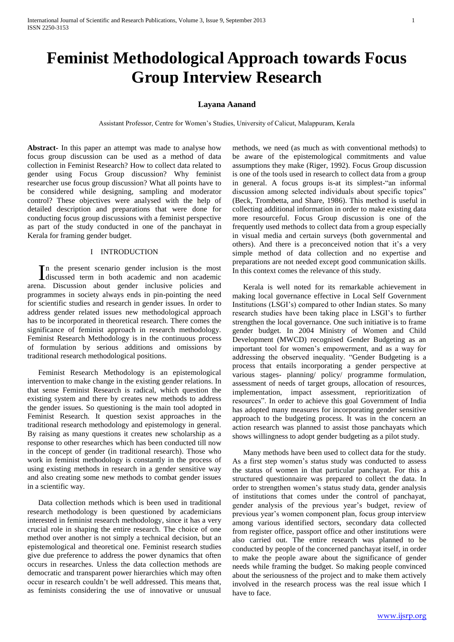# **Feminist Methodological Approach towards Focus Group Interview Research**

# **Layana Aanand**

Assistant Professor, Centre for Women's Studies, University of Calicut, Malappuram, Kerala

**Abstract-** In this paper an attempt was made to analyse how focus group discussion can be used as a method of data collection in Feminist Research? How to collect data related to gender using Focus Group discussion? Why feminist researcher use focus group discussion? What all points have to be considered while designing, sampling and moderator control? These objectives were analysed with the help of detailed description and preparations that were done for conducting focus group discussions with a feminist perspective as part of the study conducted in one of the panchayat in Kerala for framing gender budget.

## I INTRODUCTION

n the present scenario gender inclusion is the most In the present scenario gender inclusion is the most discussed term in both academic and non academic arena. Discussion about gender inclusive policies and programmes in society always ends in pin-pointing the need for scientific studies and research in gender issues. In order to address gender related issues new methodological approach has to be incorporated in theoretical research. There comes the significance of feminist approach in research methodology. Feminist Research Methodology is in the continuous process of formulation by serious additions and omissions by traditional research methodological positions.

Feminist Research Methodology is an epistemological intervention to make change in the existing gender relations. In that sense Feminist Research is radical, which question the existing system and there by creates new methods to address the gender issues. So questioning is the main tool adopted in Feminist Research. It question sexist approaches in the traditional research methodology and epistemology in general. By raising as many questions it creates new scholarship as a response to other researches which has been conducted till now in the concept of gender (in traditional research). Those who work in feminist methodology is constantly in the process of using existing methods in research in a gender sensitive way and also creating some new methods to combat gender issues in a scientific way.

Data collection methods which is been used in traditional research methodology is been questioned by academicians interested in feminist research methodology, since it has a very crucial role in shaping the entire research. The choice of one method over another is not simply a technical decision, but an epistemological and theoretical one. Feminist research studies give due preference to address the power dynamics that often occurs in researches. Unless the data collection methods are democratic and transparent power hierarchies which may often occur in research couldn't be well addressed. This means that, as feminists considering the use of innovative or unusual

methods, we need (as much as with conventional methods) to be aware of the epistemological commitments and value assumptions they make (Riger, 1992). Focus Group discussion is one of the tools used in research to collect data from a group in general. A focus groups is-at its simplest-"an informal discussion among selected individuals about specific topics" (Beck, Trombetta, and Share, 1986). This method is useful in collecting additional information in order to make existing data more resourceful. Focus Group discussion is one of the frequently used methods to collect data from a group especially in visual media and certain surveys (both governmental and others). And there is a preconceived notion that it's a very simple method of data collection and no expertise and preparations are not needed except good communication skills. In this context comes the relevance of this study.

Kerala is well noted for its remarkable achievement in making local governance effective in Local Self Government Institutions (LSGI's) compared to other Indian states. So many research studies have been taking place in LSGI's to further strengthen the local governance. One such initiative is to frame gender budget. In 2004 Ministry of Women and Child Development (MWCD) recognised Gender Budgeting as an important tool for women's empowerment, and as a way for addressing the observed inequality. "Gender Budgeting is a process that entails incorporating a gender perspective at various stages- planning/ policy/ programme formulation, assessment of needs of target groups, allocation of resources, implementation, impact assessment, reprioritization of resources". In order to achieve this goal Government of India has adopted many measures for incorporating gender sensitive approach to the budgeting process. It was in the concern an action research was planned to assist those panchayats which shows willingness to adopt gender budgeting as a pilot study.

Many methods have been used to collect data for the study. As a first step women's status study was conducted to assess the status of women in that particular panchayat. For this a structured questionnaire was prepared to collect the data. In order to strengthen women's status study data, gender analysis of institutions that comes under the control of panchayat, gender analysis of the previous year's budget, review of previous year's women component plan, focus group interview among various identified sectors, secondary data collected from register office, passport office and other institutions were also carried out. The entire research was planned to be conducted by people of the concerned panchayat itself, in order to make the people aware about the significance of gender needs while framing the budget. So making people convinced about the seriousness of the project and to make them actively involved in the research process was the real issue which I have to face.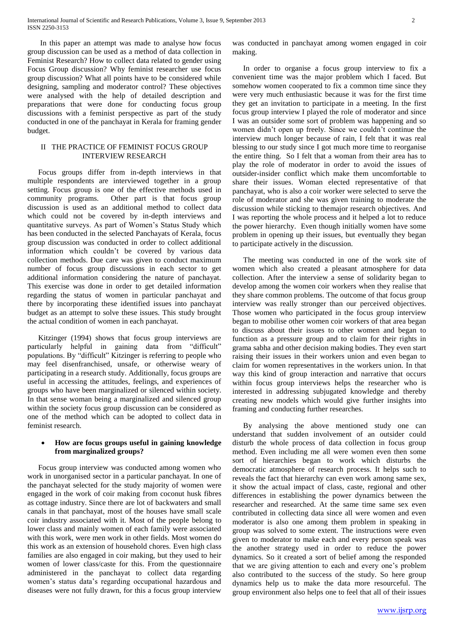In this paper an attempt was made to analyse how focus group discussion can be used as a method of data collection in Feminist Research? How to collect data related to gender using Focus Group discussion? Why feminist researcher use focus group discussion? What all points have to be considered while designing, sampling and moderator control? These objectives were analysed with the help of detailed description and preparations that were done for conducting focus group discussions with a feminist perspective as part of the study conducted in one of the panchayat in Kerala for framing gender budget.

# II THE PRACTICE OF FEMINIST FOCUS GROUP INTERVIEW RESEARCH

Focus groups differ from in-depth interviews in that multiple respondents are interviewed together in a group setting. Focus group is one of the effective methods used in community programs. Other part is that focus group discussion is used as an additional method to collect data which could not be covered by in-depth interviews and quantitative surveys. As part of Women's Status Study which has been conducted in the selected Panchayats of Kerala, focus group discussion was conducted in order to collect additional information which couldn't be covered by various data collection methods. Due care was given to conduct maximum number of focus group discussions in each sector to get additional information considering the nature of panchayat. This exercise was done in order to get detailed information regarding the status of women in particular panchayat and there by incorporating these identified issues into panchayat budget as an attempt to solve these issues. This study brought the actual condition of women in each panchayat.

Kitzinger (1994) shows that focus group interviews are particularly helpful in gaining data from "difficult" populations. By "difficult" Kitzinger is referring to people who may feel disenfranchised, unsafe, or otherwise weary of participating in a research study. Additionally, focus groups are useful in accessing the attitudes, feelings, and experiences of groups who have been marginalized or silenced within society. In that sense woman being a marginalized and silenced group within the society focus group discussion can be considered as one of the method which can be adopted to collect data in feminist research.

# **How are focus groups useful in gaining knowledge from marginalized groups?**

Focus group interview was conducted among women who work in unorganised sector in a particular panchayat. In one of the panchayat selected for the study majority of women were engaged in the work of coir making from coconut husk fibres as cottage industry. Since there are lot of backwaters and small canals in that panchayat, most of the houses have small scale coir industry associated with it. Most of the people belong to lower class and mainly women of each family were associated with this work, were men work in other fields. Most women do this work as an extension of household chores. Even high class families are also engaged in coir making, but they used to heir women of lower class/caste for this. From the questionnaire administered in the panchayat to collect data regarding women's status data's regarding occupational hazardous and diseases were not fully drawn, for this a focus group interview

was conducted in panchayat among women engaged in coir making.

In order to organise a focus group interview to fix a convenient time was the major problem which I faced. But somehow women cooperated to fix a common time since they were very much enthusiastic because it was for the first time they get an invitation to participate in a meeting. In the first focus group interview I played the role of moderator and since I was an outsider some sort of problem was happening and so women didn't open up freely. Since we couldn't continue the interview much longer because of rain, I felt that it was real blessing to our study since I got much more time to reorganise the entire thing. So I felt that a woman from their area has to play the role of moderator in order to avoid the issues of outsider-insider conflict which make them uncomfortable to share their issues. Woman elected representative of that panchayat, who is also a coir worker were selected to serve the role of moderator and she was given training to moderate the discussion while sticking to themajor research objectives. And I was reporting the whole process and it helped a lot to reduce the power hierarchy. Even though initially women have some problem in opening up their issues, but eventually they began to participate actively in the discussion.

The meeting was conducted in one of the work site of women which also created a pleasant atmosphere for data collection. After the interview a sense of solidarity began to develop among the women coir workers when they realise that they share common problems. The outcome of that focus group interview was really stronger than our perceived objectives. Those women who participated in the focus group interview began to mobilise other women coir workers of that area began to discuss about their issues to other women and began to function as a pressure group and to claim for their rights in grama sabha and other decision making bodies. They even start raising their issues in their workers union and even began to claim for women representatives in the workers union. In that way this kind of group interaction and narrative that occurs within focus group interviews helps the researcher who is interested in addressing subjugated knowledge and thereby creating new models which would give further insights into framing and conducting further researches.

By analysing the above mentioned study one can understand that sudden involvement of an outsider could disturb the whole process of data collection in focus group method. Even including me all were women even then some sort of hierarchies began to work which disturbs the democratic atmosphere of research process. It helps such to reveals the fact that hierarchy can even work among same sex, it show the actual impact of class, caste, regional and other differences in establishing the power dynamics between the researcher and researched. At the same time same sex even contributed in collecting data since all were women and even moderator is also one among them problem in speaking in group was solved to some extent. The instructions were even given to moderator to make each and every person speak was the another strategy used in order to reduce the power dynamics. So it created a sort of belief among the responded that we are giving attention to each and every one's problem also contributed to the success of the study. So here group dynamics help us to make the data more resourceful. The group environment also helps one to feel that all of their issues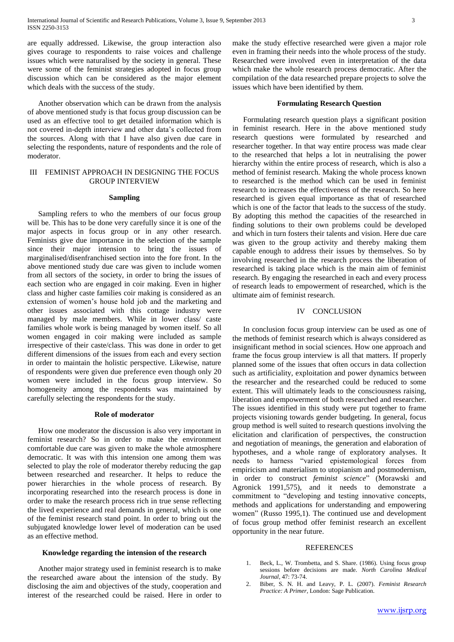are equally addressed. Likewise, the group interaction also gives courage to respondents to raise voices and challenge issues which were naturalised by the society in general. These were some of the feminist strategies adopted in focus group discussion which can be considered as the major element which deals with the success of the study.

Another observation which can be drawn from the analysis of above mentioned study is that focus group discussion can be used as an effective tool to get detailed information which is not covered in-depth interview and other data's collected from the sources. Along with that I have also given due care in selecting the respondents, nature of respondents and the role of moderator.

# III FEMINIST APPROACH IN DESIGNING THE FOCUS GROUP INTERVIEW

## **Sampling**

Sampling refers to who the members of our focus group will be. This has to be done very carefully since it is one of the major aspects in focus group or in any other research. Feminists give due importance in the selection of the sample since their major intension to bring the issues of marginalised/disenfranchised section into the fore front. In the above mentioned study due care was given to include women from all sectors of the society, in order to bring the issues of each section who are engaged in coir making. Even in higher class and higher caste families coir making is considered as an extension of women's house hold job and the marketing and other issues associated with this cottage industry were managed by male members. While in lower class/ caste families whole work is being managed by women itself. So all women engaged in coir making were included as sample irrespective of their caste/class. This was done in order to get different dimensions of the issues from each and every section in order to maintain the holistic perspective. Likewise, nature of respondents were given due preference even though only 20 women were included in the focus group interview. So homogeneity among the respondents was maintained by carefully selecting the respondents for the study.

## **Role of moderator**

How one moderator the discussion is also very important in feminist research? So in order to make the environment comfortable due care was given to make the whole atmosphere democratic. It was with this intension one among them was selected to play the role of moderator thereby reducing the gap between researched and researcher. It helps to reduce the power hierarchies in the whole process of research. By incorporating researched into the research process is done in order to make the research process rich in true sense reflecting the lived experience and real demands in general, which is one of the feminist research stand point. In order to bring out the subjugated knowledge lower level of moderation can be used as an effective method.

## **Knowledge regarding the intension of the research**

Another major strategy used in feminist research is to make the researched aware about the intension of the study. By disclosing the aim and objectives of the study, cooperation and interest of the researched could be raised. Here in order to

make the study effective researched were given a major role even in framing their needs into the whole process of the study. Researched were involved even in interpretation of the data which make the whole research process democratic. After the compilation of the data researched prepare projects to solve the issues which have been identified by them.

## **Formulating Research Question**

Formulating research question plays a significant position in feminist research. Here in the above mentioned study research questions were formulated by researched and researcher together. In that way entire process was made clear to the researched that helps a lot in neutralising the power hierarchy within the entire process of research, which is also a method of feminist research. Making the whole process known to researched is the method which can be used in feminist research to increases the effectiveness of the research. So here researched is given equal importance as that of researched which is one of the factor that leads to the success of the study. By adopting this method the capacities of the researched in finding solutions to their own problems could be developed and which in turn fosters their talents and vision. Here due care was given to the group activity and thereby making them capable enough to address their issues by themselves. So by involving researched in the research process the liberation of researched is taking place which is the main aim of feminist research. By engaging the researched in each and every process of research leads to empowerment of researched, which is the ultimate aim of feminist research.

#### IV CONCLUSION

In conclusion focus group interview can be used as one of the methods of feminist research which is always considered as insignificant method in social sciences. How one approach and frame the focus group interview is all that matters. If properly planned some of the issues that often occurs in data collection such as artificiality, exploitation and power dynamics between the researcher and the researched could be reduced to some extent. This will ultimately leads to the consciousness raising, liberation and empowerment of both researched and researcher. The issues identified in this study were put together to frame projects visioning towards gender budgeting. In general, focus group method is well suited to research questions involving the elicitation and clarification of perspectives, the construction and negotiation of meanings, the generation and elaboration of hypotheses, and a whole range of exploratory analyses. It needs to harness "varied epistemological forces from empiricism and materialism to utopianism and postmodernism, in order to construct *feminist science*" (Morawski and Agronick 1991,575), and it needs to demonstrate a commitment to "developing and testing innovative concepts, methods and applications for understanding and empowering women" (Russo 1995,1). The continued use and development of focus group method offer feminist research an excellent opportunity in the near future.

## REFERENCES

- Beck, L., W. Trombetta, and S. Share. (1986). Using focus group sessions before decisions are made. *North Carolina Medical Journal*, 47: 73-74.
- 2. Biber, S. N. H. and Leavy, P. L. (2007). *Feminist Research Practice: A Primer*, London: Sage Publication.